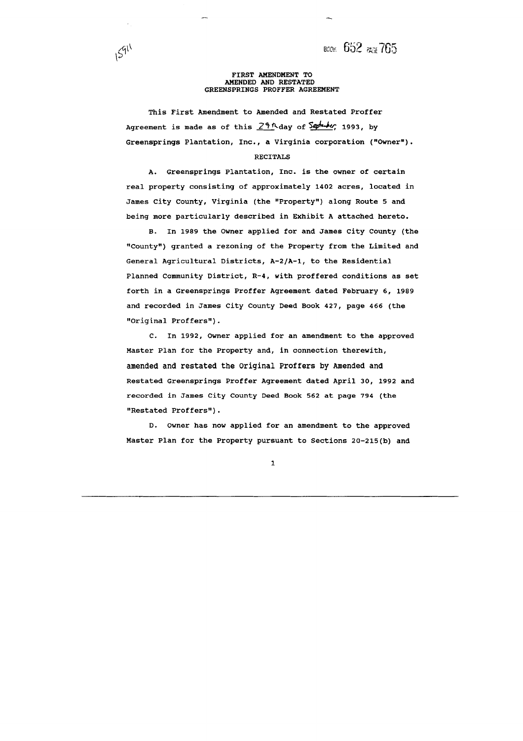всок 652 PAGE 765

#### **FIRST AMENDMENT TO AMENDED AND RESTATED GREENSPRINGS PROFFER AGREEMENT**

 $1591$ 

**This First Amendment to Amended and Restated Proffer**  Agreement is made as of this  $29$ <sup>n</sup>day of September, 1993, by **Greensprings Plantation, Inc., a Virginia corporation ("Owner").** 

### **RECITALS**

**A. Greensprings Plantation, Inc. is the owner of certain real property consisting of approximately 1402 acres, located in**  James City County, Virginia (the "Property") along Route 5 and **being more particularly described in Exhibit A attached hereto.** 

**B. In 1989 the Owner applied for and James City County (the "County") granted a rezoning of the Property from the Limited and General Agricultural Districts, A-2/A-1, to the Residential Planned Community District, R-4, with proffered conditions as set forth in a Greensprings Proffer Agreement dated February 6, 1989 and recorded in James City County Deed Book 427, page 466 (the I9Original Proffers")** .

**C. In 1992, Owner applied for an amendment to the approved Master Plan for the Property and, in connection therewith, amended and restated the Original Proffers by Amended and Restated Greensprings Proffer Agreement dated April 30, 1992 and recorded in James City County Deed Book 562 at page 794 (the IvRestated Prof fersq')** .

**D. Owner has now applied for an amendment to the approved Master Plan for the Property pursuant to Sections 20-215(b) and**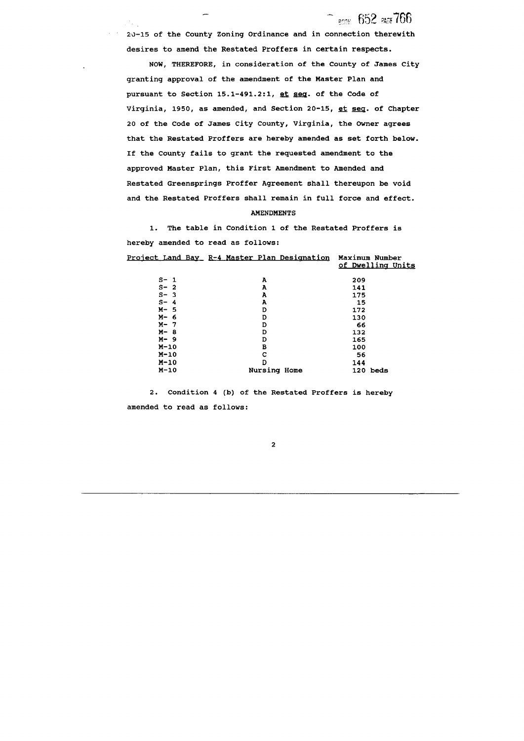**2,)-15 of the County Zoning Ordinance and in connection therewith desires to amend the Restated Proffers in certain respects.** 

ROOK 652 PAGE 766

**NOW, THEREFORE, in consideration of the County of James City granting approval of the amendment of the Master Plan and pursuant to Section 15.1-491.2:1, et seq. of the Code of**  Virginia, 1950, as amended, and Section 20-15, et seq. of Chapter **20 of the Code of James City County, Virginia, the Owner agrees that the Restated Proffers are hereby amended as set forth below. If the County fails to grant the requested amendment to the approved Master Plan, this First Amendment to Amended and Restated Greensprings Proffer Agreement shall thereupon be void and the Restated Proffers shall remain in full force and effect.** 

#### **AMENDMENTS**

**1. The table in Condition 1 of the Restated Proffers is hereby amended to read as follows:** 

|         | <u> Project Land Bay R-4 Master Plan Designation</u> | Maximum Number<br>of Dwelling Units |
|---------|------------------------------------------------------|-------------------------------------|
| $S - 1$ | A                                                    | 209                                 |
| $S - 2$ | A                                                    | 141                                 |
| $S - 3$ | A                                                    | 175                                 |
| $S - 4$ | A                                                    | 15                                  |
| $M - 5$ | D                                                    | 172                                 |
| $M - 6$ | D                                                    | 130                                 |
| $M - 7$ | D                                                    | 66                                  |
| $M - 8$ | D                                                    | 132                                 |
| $M - 9$ | D                                                    | 165                                 |
| $M-10$  | в                                                    | 100                                 |
| $M-10$  | C                                                    | 56                                  |
| $M-10$  | D                                                    | 144                                 |
| $M-10$  | <b>Nursing Home</b>                                  | 120 beds                            |

**2. Condition 4 (b) of the Restated Proffers is hereby amended to read as follows:** 

 $\mathbf{2}$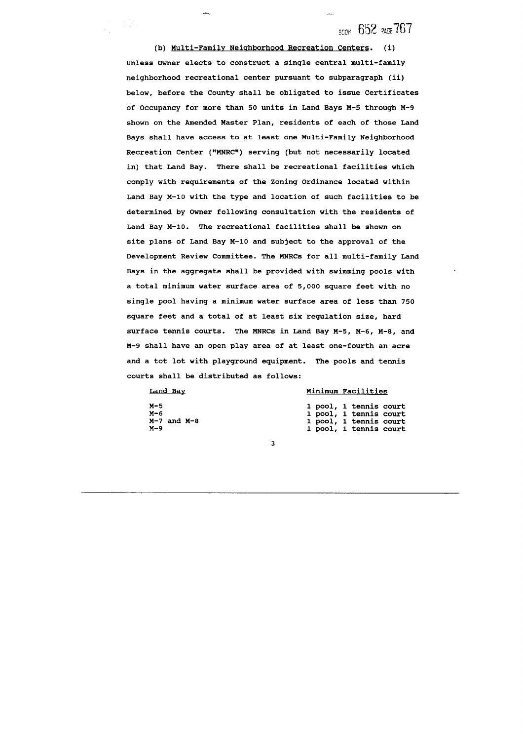**BOOK 652 PAGE 767** 

**(b) Multi-Family Neiahborhood Recreation Centers. (i) Unless Owner elects to construct a single central multi-family neighborhood recreational center pursuant to subparagraph (ii) below, before the County shall be obligated to issue Certificates of Occupancy for more than 50 units in Land Bays M-5 through M-9 shown on the Amended Master Plan, residents of each of those Land Bays shall have access to at least one Multi-Family Neighborhood**  Recreation Center ("MNRC") serving (but not necessarily located **in) that Land Bay. There shall be recreational facilities which comply with requirements of the Zoning Ordinance located within Land Bay M-10 with the type and location of such facilities to be determined by Owner following consultation with the residents of Land Bay M-10. The recreational facilities shall be shown on site plans of Land Bay M-10 and subject to the approval of the Development Review Committee. The MNRCs for all multi-family Land Bays in the aggregate shall be provided with swimming pools with a total minimum water surface area of 5,000 square feet with no single pool having a minimum water surface area of less than 750 square feet and a total of at least six regulation size, hard surface tennis courts. The MNRCs in Land Bay M-5, M-6, M-8, and M-9 shall have an open play area of at least one-fourth an acre and a tot lot with playground equipment. The pools and tennis courts shall be distributed as follows:** 

**Land Bav** 

**M-5 M- 6** 

 $\mathcal{L}^{\text{max}}_{\text{max}}$ 

**M-7 and M-8** 

**M-9** 

#### **Minimum Facilities**

|  | 1 pool, 1 tennis court |  |
|--|------------------------|--|
|  | 1 pool, 1 tennis court |  |
|  | 1 pool, 1 tennis court |  |
|  | 1 pool, 1 tennis court |  |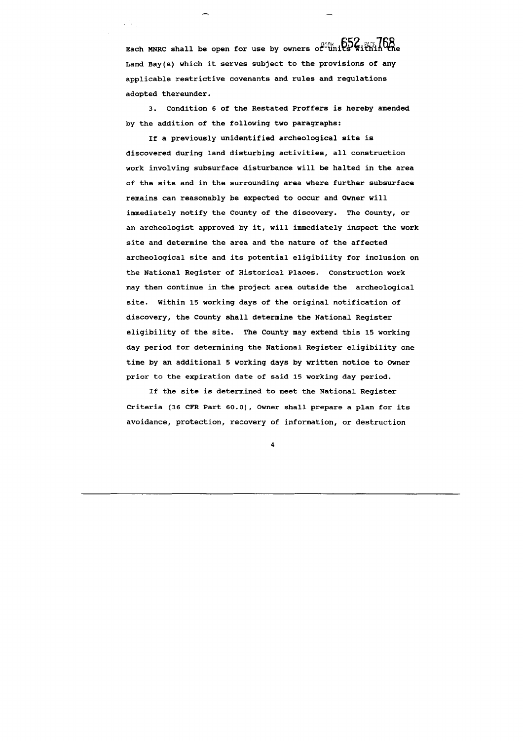Each MNRC shall be open for use by owners of units **Within t Land Bay(s) which it serves subject to the provisions of any applicable restrictive covenants and rules and regulations adopted thereunder.** 

a Sa

**3. Condition 6 of the Restated Proffers is hereby amended by the addition of the following two paragraphs:** 

**If a previously unidentified archeological site is discovered during land disturbing activities, all construction work involving subsurface disturbance will be halted in the area of the site and in the surrounding area where further subsurface remains can reasonably be expected to occur and Owner will immediately notify the County of the discovery. The County, or an archeologist approved by it, will immediately inspect the work site and determine the area and the nature of the affected archeological site and its potential eligibility for inclusion on the National Register of Historical Places. Construction work may then continue in the project area outside the archeological site. Within 15 working days of the original notification of discovery, the County shall determine the National Register eligibility of the site. The County may extend this 15 working day period for determining the National Register eligibility one time by an additional 5 working days by written notice to Owner prior to the expiration date of said 15 working day period.** 

**If the site is determined to meet the National Register Criteria (36 CFR Part 60.0), Owner shall prepare a plan for its avoidance, protection, recovery of information, or destruction**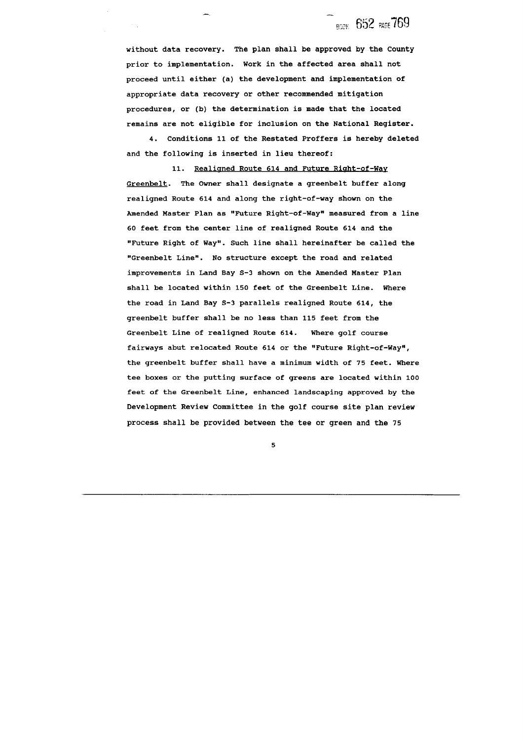**BOOK 652 PAGE 769** 

**without data recovery. The plan shall be approved by the County prior to implementation. Work in the affected area shall not proceed until either (a) the development and implementation of appropriate data recovery or other recommended mitigation procedures, or (b) the determination is made that the located remains are not eligible for inclusion on the National Register.** 

 $\mathcal{O}(\mathbb{R})$ 

**4. Conditions 11 of the Restated Proffers is hereby deleted and the following is inserted in lieu thereof:** 

**11. Realisned Route 614 and Future Riaht-of-Way Greenbelt. The Owner shall designate a greenbelt buffer along realigned Route 614 and along the right-of-way shown on the Amended Master Plan as "Future Right-of-way" measured from a line 60 feet from the center line of realigned Route 614 and the '!Future Right of Way'. Such line shall hereinafter be called the "Greenbelt Line". No structure except the road and related improvements in Land Bay 5-3 shown on the Amended Master Plan shall be located within 150 feet of the Greenbelt Line. Where the road in Land Bay 5-3 parallels realigned Route 614, the greenbelt buffer shall be no less than 115 feet from the Greenbelt Line of realigned Route 614. Where golf course fairways abut relocated Route 614 or the "Future Right-of-way", the greenbelt buffer shall have a minimum width of 75 feet. Where tee boxes or the putting surface of greens are located within 100 feet of the Greenbelt Line, enhanced landscaping approved by the Development Review Committee in the golf course site plan review process shall be provided between the tee or green and the 75**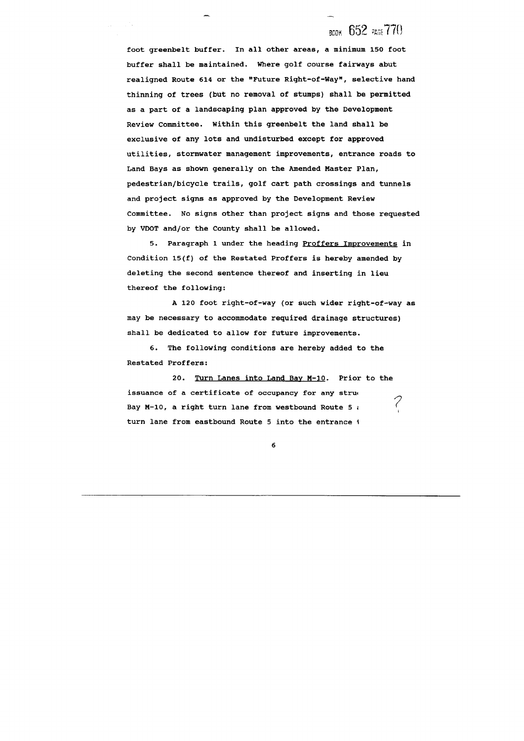## **BOOK 652 PAGE 770**

**foot greenbelt buffer. In all other areas, a minimum 150 foot buffer shall be maintained. Where golf course fairways abut**  realigned Route 614 or the "Future Right-of-Way", selective hand **thinning of trees (but no removal of stumps) shall be permitted as a part of a landscaping plan approved by the Development Review Committee. Within this greenbelt the land shall be exclusive of any lots and undisturbed except for approved utilities, stormwater management improvements, entrance roads to Land Bays as shown generally on the Amended Master Plan, pedestrian/bicycle trails, golf cart path crossings and tunnels and project signs as approved by the Development Review Committee. No signs other than project signs and those requested by VDOT and/or the County shall be allowed.** 

**5. Paragraph 1 under the heading Proffers Improvements in Condition 15(f) of the Restated Proffers is hereby amended by deleting the second sentence thereof and inserting in lieu thereof the following:** 

**A 120 foot right-of-way (or such wider right-of-way as may be necessary to accommodate required drainage structures) shall be dedicated to allow for future improvements.** 

**6. The following conditions are hereby added to the Restated Proffers:** 

**20. Turn Lanes into Land Bav M-10. Prior to the issuance of a certificate of occupancy for any stru~**  Bay M-10, a right turn lane from westbound Route 5  $\imath$ **turn lane from eastbound Route 5 into the entrance** I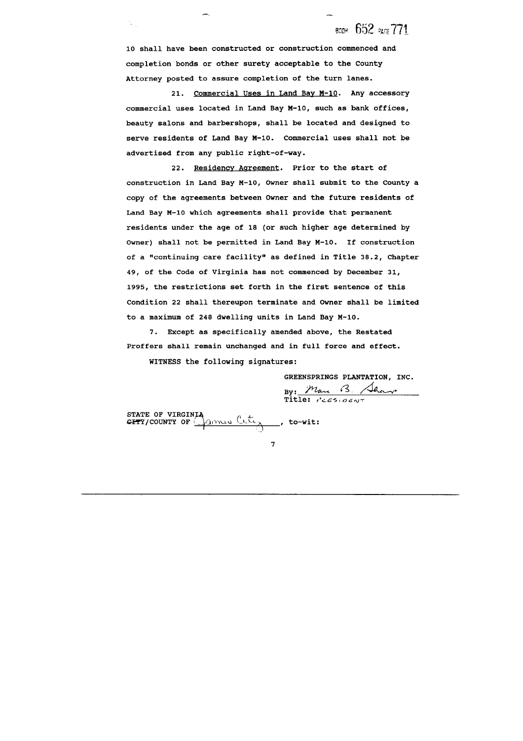**BOOK 652 PAGE 771** 

**10 shall have been constructed or construction commenced and completion bonds or other surety acceptable to the County Attorney posted to assure completion of the turn lanes.** 

 $\mathcal{F}_{\mathbf{a},\mathbf{b}}$ 

**21. Commercial Uses in Land Bav M-10. Any accessory commercial uses located in Land Bay M-10, such as bank offices, beauty salons and barbershops, shall be located and designed to serve residents of Land Bay M-10. Commercial uses shall not be advertised from any public right-of-way.** 

**22. Residencv Aareement. Prior to the start of construction in Land Bay M-10, Owner shall submit to the County a copy of the agreements between Owner and the future residents of Land Bay M-10 which agreements shall provide that permanent residents under the age of 18 (or such higher age determined by Owner) shall not be permitted in Land Bay M-10. If construction**  of a "continuing care facility" as defined in Title 38.2, Chapter **49, of the Code of Virginia has not commenced by December 31, 1995, the restrictions set forth in the first sentence of this Condition 22 shall thereupon terminate and Owner shall be limited to a maximum of 248 dwelling units in Land Bay M-10.** 

**7. Except as specifically amended above, the Restated Proffers shall remain unchanged and in full force and effect.** 

**WITNESS the following signatures:** 

**GREENSPRINGS PLANTATION, INC.** 

**BREENSPRINGS PLANT!**<br>By: *Man (3. /*<br>Title: *icES+0ENT* 

**STATE OF VIRGINIA**<br>**CITY/COUNTY OF**  $\frac{\partial u}{\partial x}$ , **to-wit:**  $\mathbb{C}$ 

 $\overline{7}$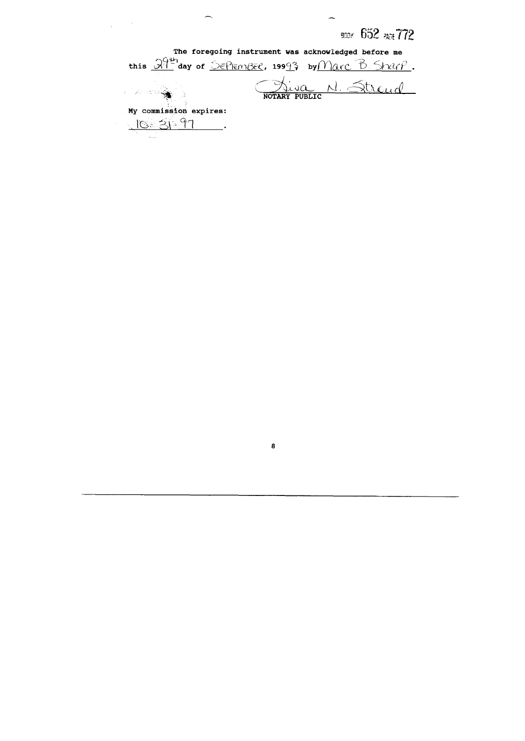BOOK 652 PAGE 772 The foregoing instrument was acknowledged before me this  $\frac{3949}{1}$ day of SEPEMBEC, 19993 by Marc B Strip. Niva N. Stroud  $\mathbb{R}^{n}$ My commission expires: 10-31-97  $\overline{\phantom{a}}$ 

 $\boldsymbol{8}$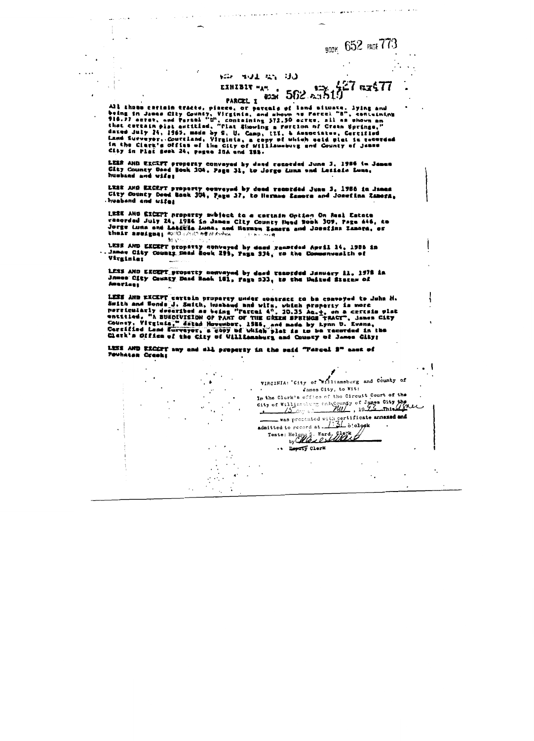### YOU WULL AN UU

 $\overline{a}$ 

#### EXHIBIT "A".  $562n$ もつごべ PARCEL I

الموارين والرابيع التعاهر وبالانتاج والولوسي التحامية الحرابة والتاريخ والمراوية

BOOK 652 PAGE 773

 $21$  er $\epsilon7$ 

All those cartain tracts, piaces, or parcals of land situate. lying and being in James City County, Virginia, and shown as Farcel "B", containing<br>116.77 acree, and Parcel "D", containing 572.50 acres, all as shown an<br>that certain plat antitiad, "Flat Showing a Portion of Crahn Springs,"<br>that d dated July 24, 1965, made by S. U. Camp, III, & Ausnetates, Certified<br>Land Surveyor..Courciand, Virginia, a copy of which eaid plat is recorded<br>in the Clerk's Office of the City of Williamsburg and County of James City in Plat Sook 24, pages 25A and 283.

LEES AND EXCEFT property conveyed by dand resorded June J. 1986 in James<br>City County Daed Book 104, Page Jl, to Jorge Lunn and Lesiain Lune, husband and wifel

LISE AND EXCEPT property conveyed by deed recorded June 3, 1986 in James City County Deed Back 304, Page 37, to Herman Zamora and Josefina Zamora, huaband and uifer

LESE AND EXCEPT property subject to a certain Option On Real Estate recorded July 24, 1986 in Janus City County Peed Book 309, Page 446, to Jorge Luna and Latitle Luna, and Bernan Zamors and Josefin Zamora, or their assignate souls are at their and the second to you

LESE AND EXCEPT property conveyed by deed recorded April 14, 1986 in<br>... Innes City County Dead Rook 295, Page 334, to the Commenwealth of Virginies

LESS AND EXCEPT property nonveyed by deed renorded January 11, 1978 in James City County Dand Back 181, Fage 533, to the United States of Americas

LESS AND EXCEPT cartain property under goatract to be conveyed to John H. Suith and Sonds J. Suith, kushand and wife, which property is more<br>porticularly decaribed as being "rested 4", 20.35 As.+, on a certain plat<br>entitled, "A BUEDEVISION OF PART OF THE CREEN SPRINGS TRACT", James City County, Vitginia," datad November, 1986, and made by Lynn D. Evans, Carrified Land Surveyor, a copy of which plat is to be recorded in the Cherk's Office of the City of Williamsburg and County of James City;

LESS AND EXCUTY any and all property in the said "Fargel 2" east of Powhatan Creeks

VIRGINIA: 'City of Williamsburg and County of James City, to Wit: In the Clerk's office of the Circuit Court of the City of Williamsburg end County of James City the Chec was presented with certificate annexed and<br>admitted to record at. 1:31 o'ologk Teste: Heleng S. Ward, Clerk .. Deputy Clerk  $\epsilon_{\rm{eff}}$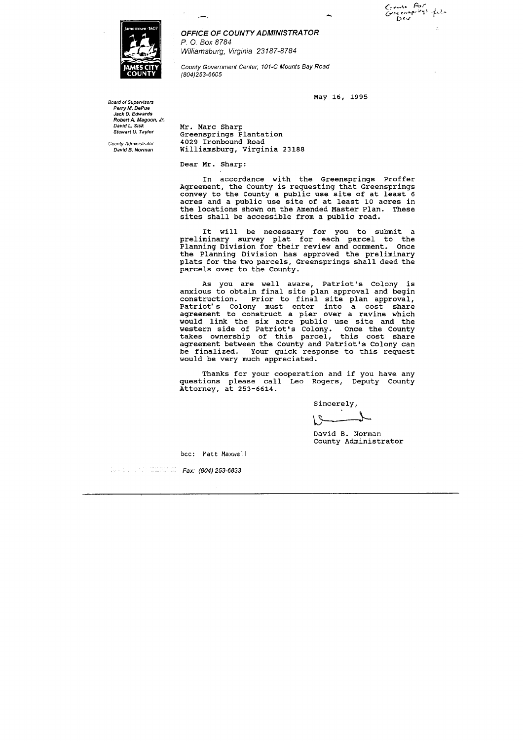**Board of Supervisors Perry M. DePue Jack D. Edwards Robert A. Magoon. Jr. David L. Sisk Stewart U. Taylor** 

**County Adminisfrator David 13. Norman** 



**OFFICE OF COUNTY ADMINISTRATOR P.** 0. Box 8784 **Williamsburg, Virginia** 23 187-8784

**County Government Center, 101-C Mounts Bay Road (804)253-6605** 

May **16, 1995** 

Mr. Marc Sharp Greensprings Plantation **4029** Ironbound Road Williamsburg, Virginia **23188** 

Dear Mr. Sharp:

In accordance with the Greensprings Proffer Agreement, the County is requesting that Greensprings convey to the County a public use site of at least **6**  acres and a public use site of at least **10** acres in the locations shown on the Amended Master Plan. These sites shall be accessible from a public road.

It will be necessary for you to submit a preliminary survey plat for each parcel to the Planning Division for their review and comment. Once the Planning Division has approved the preliminary plats for the two parcels, Greensprings shall deed the parcels over to the County.

As you are well aware, Patriot's Colony is anxious to obtain final site plan approval and begin construction. Prior to final site plan approval, Patriot's Colony must enter into a cost share agreement to construct a pier over a ravine which would link the six acre public use site and the western side of Patriot's Colony. Once the County takes ownership of this parcel, this cost share agreement between the County and Patriot's Colony can be finalized. Your quick response to this request would be very much appreciated.

Thanks for your cooperation and if you have any questions please call Leo Rogers, Deputy County Attorney, at **253-6614.** 

Sincerely,

David B. Norman County Administrator

bcc: **Matt Maxwell** 

**Fax: (804) 253-6833**